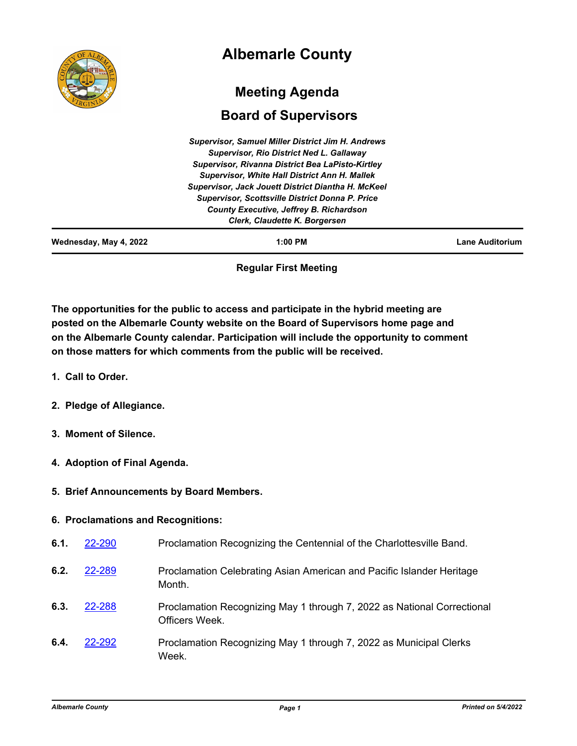|                        | <b>Albemarle County</b>                                                                                                                                                                                                                                                                                                                                                                                                    |                 |
|------------------------|----------------------------------------------------------------------------------------------------------------------------------------------------------------------------------------------------------------------------------------------------------------------------------------------------------------------------------------------------------------------------------------------------------------------------|-----------------|
|                        | <b>Meeting Agenda</b><br><b>Board of Supervisors</b>                                                                                                                                                                                                                                                                                                                                                                       |                 |
|                        | <b>Supervisor, Samuel Miller District Jim H. Andrews</b><br><b>Supervisor, Rio District Ned L. Gallaway</b><br>Supervisor, Rivanna District Bea LaPisto-Kirtley<br><b>Supervisor, White Hall District Ann H. Mallek</b><br>Supervisor, Jack Jouett District Diantha H. McKeel<br><b>Supervisor, Scottsville District Donna P. Price</b><br><b>County Executive, Jeffrey B. Richardson</b><br>Clerk, Claudette K. Borgersen |                 |
| Wednesday, May 4, 2022 | $1:00$ PM                                                                                                                                                                                                                                                                                                                                                                                                                  | Lane Auditorium |

## **Regular First Meeting**

**The opportunities for the public to access and participate in the hybrid meeting are posted on the Albemarle County website on the Board of Supervisors home page and on the Albemarle County calendar. Participation will include the opportunity to comment on those matters for which comments from the public will be received.**

- **1. Call to Order.**
- **2. Pledge of Allegiance.**
- **3. Moment of Silence.**
- **4. Adoption of Final Agenda.**
- **5. Brief Announcements by Board Members.**

## **6. Proclamations and Recognitions:**

- **6.1. [22-290](http://albemarle.legistar.com/gateway.aspx?m=l&id=/matter.aspx?key=7034)** Proclamation Recognizing the Centennial of the Charlottesville Band.
- Proclamation Celebrating Asian American and Pacific Islander Heritage Month. **6.2.** [22-289](http://albemarle.legistar.com/gateway.aspx?m=l&id=/matter.aspx?key=7033)
- Proclamation Recognizing May 1 through 7, 2022 as National Correctional Officers Week. **6.3.** [22-288](http://albemarle.legistar.com/gateway.aspx?m=l&id=/matter.aspx?key=7032)
- Proclamation Recognizing May 1 through 7, 2022 as Municipal Clerks Week. **6.4.** [22-292](http://albemarle.legistar.com/gateway.aspx?m=l&id=/matter.aspx?key=7036)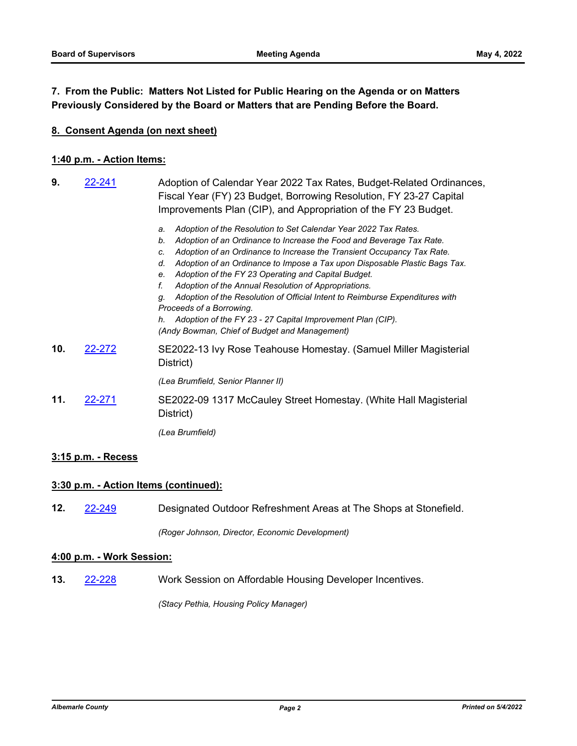# **7. From the Public: Matters Not Listed for Public Hearing on the Agenda or on Matters Previously Considered by the Board or Matters that are Pending Before the Board.**

## **8. Consent Agenda (on next sheet)**

### **1:40 p.m. - Action Items:**

| 9.  | 22-241 | Adoption of Calendar Year 2022 Tax Rates, Budget-Related Ordinances,<br>Fiscal Year (FY) 23 Budget, Borrowing Resolution, FY 23-27 Capital<br>Improvements Plan (CIP), and Appropriation of the FY 23 Budget.                                                                                                                                                                                                                                                                                                                                                                                                                                                                             |
|-----|--------|-------------------------------------------------------------------------------------------------------------------------------------------------------------------------------------------------------------------------------------------------------------------------------------------------------------------------------------------------------------------------------------------------------------------------------------------------------------------------------------------------------------------------------------------------------------------------------------------------------------------------------------------------------------------------------------------|
|     |        | Adoption of the Resolution to Set Calendar Year 2022 Tax Rates.<br>a.<br>Adoption of an Ordinance to Increase the Food and Beverage Tax Rate.<br>b.<br>Adoption of an Ordinance to Increase the Transient Occupancy Tax Rate.<br>C.<br>Adoption of an Ordinance to Impose a Tax upon Disposable Plastic Bags Tax.<br>d.<br>Adoption of the FY 23 Operating and Capital Budget.<br>е.<br>Adoption of the Annual Resolution of Appropriations.<br>f.<br>Adoption of the Resolution of Official Intent to Reimburse Expenditures with<br>а.<br>Proceeds of a Borrowing.<br>Adoption of the FY 23 - 27 Capital Improvement Plan (CIP).<br>h.<br>(Andy Bowman, Chief of Budget and Management) |
| 10. | 22-272 | SE2022-13 Ivy Rose Teahouse Homestay. (Samuel Miller Magisterial<br>District)                                                                                                                                                                                                                                                                                                                                                                                                                                                                                                                                                                                                             |
|     |        | (Lea Brumfield, Senior Planner II)                                                                                                                                                                                                                                                                                                                                                                                                                                                                                                                                                                                                                                                        |
| 11. | 22-271 | SE2022-09 1317 McCauley Street Homestay. (White Hall Magisterial<br>District)                                                                                                                                                                                                                                                                                                                                                                                                                                                                                                                                                                                                             |
|     |        | (Lea Brumfield)                                                                                                                                                                                                                                                                                                                                                                                                                                                                                                                                                                                                                                                                           |

## **3:15 p.m. - Recess**

## **3:30 p.m. - Action Items (continued):**

**12.** [22-249](http://albemarle.legistar.com/gateway.aspx?m=l&id=/matter.aspx?key=6994) Designated Outdoor Refreshment Areas at The Shops at Stonefield.

*(Roger Johnson, Director, Economic Development)*

#### **4:00 p.m. - Work Session:**

**13.** [22-228](http://albemarle.legistar.com/gateway.aspx?m=l&id=/matter.aspx?key=6973) Work Session on Affordable Housing Developer Incentives.

*(Stacy Pethia, Housing Policy Manager)*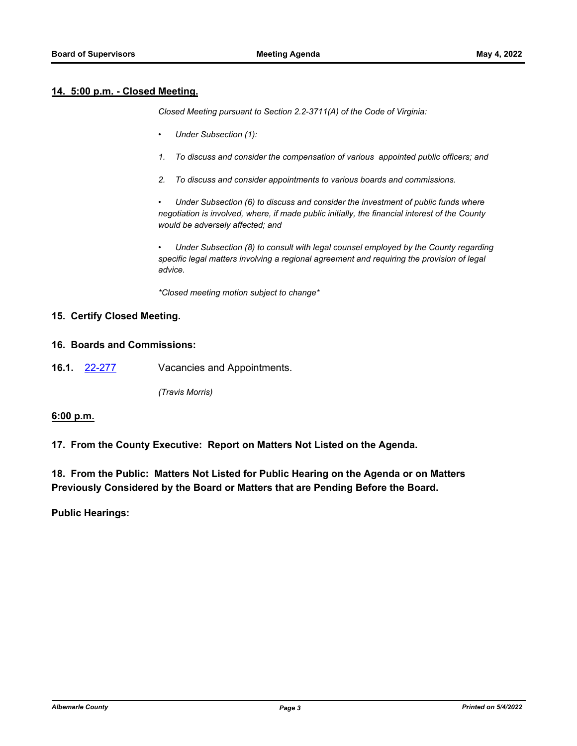#### **14. 5:00 p.m. - Closed Meeting.**

*Closed Meeting pursuant to Section 2.2-3711(A) of the Code of Virginia:*

- *• Under Subsection (1):*
- *1. To discuss and consider the compensation of various appointed public officers; and*
- *2. To discuss and consider appointments to various boards and commissions.*

*• Under Subsection (6) to discuss and consider the investment of public funds where negotiation is involved, where, if made public initially, the financial interest of the County would be adversely affected; and*

*• Under Subsection (8) to consult with legal counsel employed by the County regarding specific legal matters involving a regional agreement and requiring the provision of legal advice.*

*\*Closed meeting motion subject to change\**

#### **15. Certify Closed Meeting.**

#### **16. Boards and Commissions:**

**16.1.** [22-277](http://albemarle.legistar.com/gateway.aspx?m=l&id=/matter.aspx?key=7021) Vacancies and Appointments.

*(Travis Morris)*

### **6:00 p.m.**

**17. From the County Executive: Report on Matters Not Listed on the Agenda.**

**18. From the Public: Matters Not Listed for Public Hearing on the Agenda or on Matters Previously Considered by the Board or Matters that are Pending Before the Board.**

**Public Hearings:**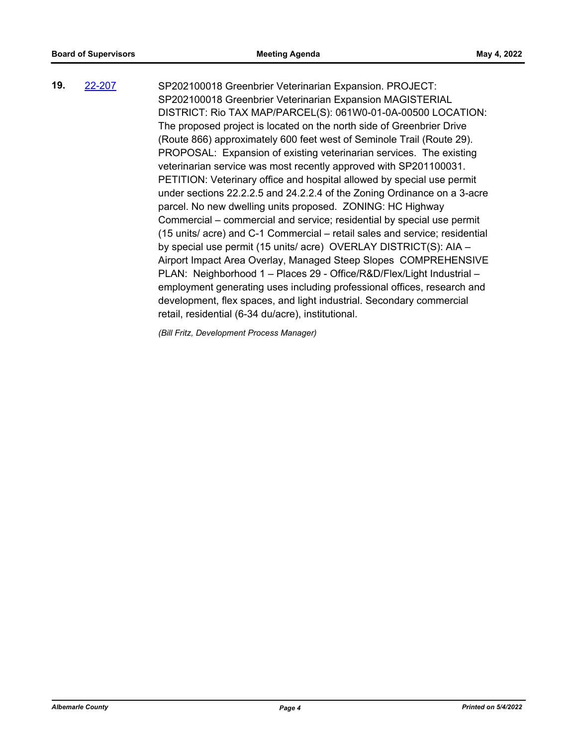SP202100018 Greenbrier Veterinarian Expansion. PROJECT: SP202100018 Greenbrier Veterinarian Expansion MAGISTERIAL DISTRICT: Rio TAX MAP/PARCEL(S): 061W0-01-0A-00500 LOCATION: The proposed project is located on the north side of Greenbrier Drive (Route 866) approximately 600 feet west of Seminole Trail (Route 29). PROPOSAL: Expansion of existing veterinarian services. The existing veterinarian service was most recently approved with SP201100031. PETITION: Veterinary office and hospital allowed by special use permit under sections 22.2.2.5 and 24.2.2.4 of the Zoning Ordinance on a 3-acre parcel. No new dwelling units proposed. ZONING: HC Highway Commercial – commercial and service; residential by special use permit (15 units/ acre) and C-1 Commercial – retail sales and service; residential by special use permit (15 units/ acre) OVERLAY DISTRICT(S): AIA – Airport Impact Area Overlay, Managed Steep Slopes COMPREHENSIVE PLAN: Neighborhood 1 – Places 29 - Office/R&D/Flex/Light Industrial – employment generating uses including professional offices, research and development, flex spaces, and light industrial. Secondary commercial retail, residential (6-34 du/acre), institutional. **19.** [22-207](http://albemarle.legistar.com/gateway.aspx?m=l&id=/matter.aspx?key=6952)

*(Bill Fritz, Development Process Manager)*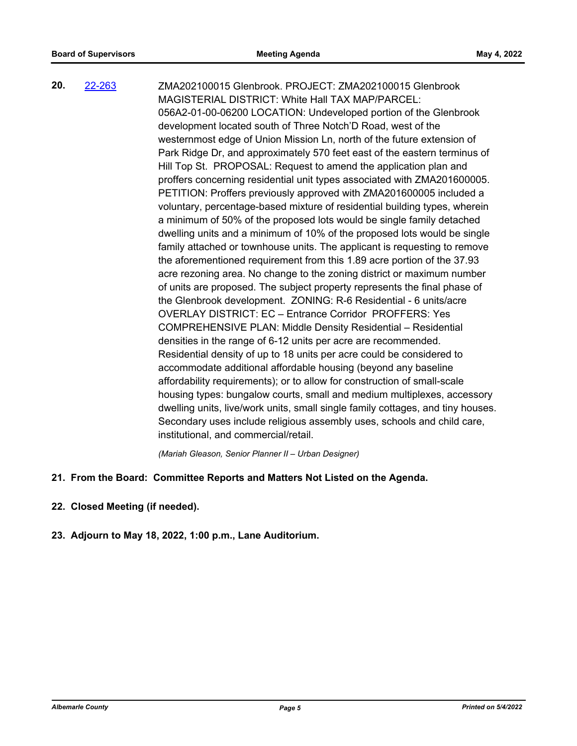ZMA202100015 Glenbrook. PROJECT: ZMA202100015 Glenbrook MAGISTERIAL DISTRICT: White Hall TAX MAP/PARCEL: 056A2-01-00-06200 LOCATION: Undeveloped portion of the Glenbrook development located south of Three Notch'D Road, west of the westernmost edge of Union Mission Ln, north of the future extension of Park Ridge Dr, and approximately 570 feet east of the eastern terminus of Hill Top St. PROPOSAL: Request to amend the application plan and proffers concerning residential unit types associated with ZMA201600005. PETITION: Proffers previously approved with ZMA201600005 included a voluntary, percentage-based mixture of residential building types, wherein a minimum of 50% of the proposed lots would be single family detached dwelling units and a minimum of 10% of the proposed lots would be single family attached or townhouse units. The applicant is requesting to remove the aforementioned requirement from this 1.89 acre portion of the 37.93 acre rezoning area. No change to the zoning district or maximum number of units are proposed. The subject property represents the final phase of the Glenbrook development. ZONING: R-6 Residential - 6 units/acre OVERLAY DISTRICT: EC – Entrance Corridor PROFFERS: Yes COMPREHENSIVE PLAN: Middle Density Residential – Residential densities in the range of 6-12 units per acre are recommended. Residential density of up to 18 units per acre could be considered to accommodate additional affordable housing (beyond any baseline affordability requirements); or to allow for construction of small-scale housing types: bungalow courts, small and medium multiplexes, accessory dwelling units, live/work units, small single family cottages, and tiny houses. Secondary uses include religious assembly uses, schools and child care, institutional, and commercial/retail. **20.** [22-263](http://albemarle.legistar.com/gateway.aspx?m=l&id=/matter.aspx?key=7008)

*(Mariah Gleason, Senior Planner II – Urban Designer)*

## **21. From the Board: Committee Reports and Matters Not Listed on the Agenda.**

- **22. Closed Meeting (if needed).**
- **23. Adjourn to May 18, 2022, 1:00 p.m., Lane Auditorium.**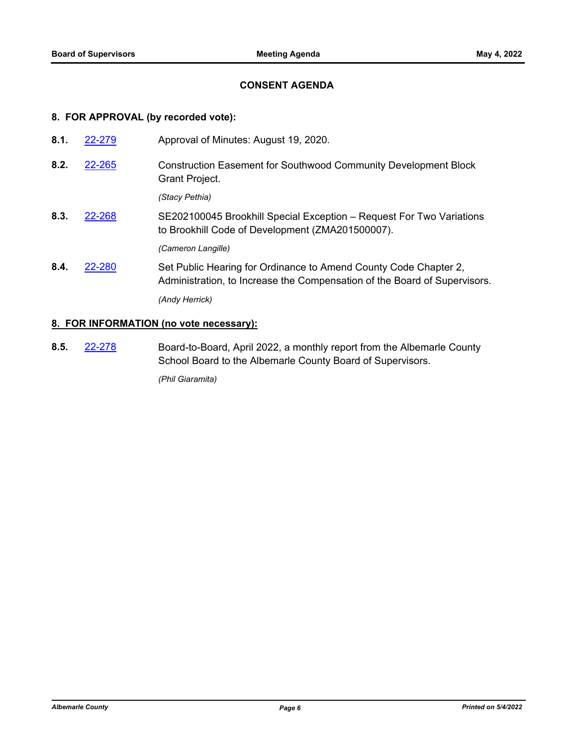## **CONSENT AGENDA**

## **8. FOR APPROVAL (by recorded vote):**

- **8.1.** [22-279](http://albemarle.legistar.com/gateway.aspx?m=l&id=/matter.aspx?key=7023) Approval of Minutes: August 19, 2020.
- Construction Easement for Southwood Community Development Block Grant Project. **8.2.** [22-265](http://albemarle.legistar.com/gateway.aspx?m=l&id=/matter.aspx?key=7010)

*(Stacy Pethia)*

SE202100045 Brookhill Special Exception – Request For Two Variations to Brookhill Code of Development (ZMA201500007). **8.3.** [22-268](http://albemarle.legistar.com/gateway.aspx?m=l&id=/matter.aspx?key=7013)

*(Cameron Langille)*

Set Public Hearing for Ordinance to Amend County Code Chapter 2, Administration, to Increase the Compensation of the Board of Supervisors. **8.4.** [22-280](http://albemarle.legistar.com/gateway.aspx?m=l&id=/matter.aspx?key=7024) *(Andy Herrick)*

### **8. FOR INFORMATION (no vote necessary):**

Board-to-Board, April 2022, a monthly report from the Albemarle County School Board to the Albemarle County Board of Supervisors. **8.5.** [22-278](http://albemarle.legistar.com/gateway.aspx?m=l&id=/matter.aspx?key=7022)

*(Phil Giaramita)*